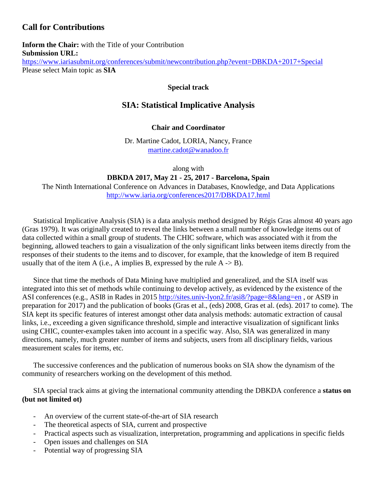# **Call for Contributions**

**Inform the Chair:** with the Title of your Contribution **Submission URL:** <https://www.iariasubmit.org/conferences/submit/newcontribution.php?event=DBKDA+2017+Special> Please select Main topic as **SIA**

### **Special track**

## **SIA: Statistical Implicative Analysis**

## **Chair and Coordinator**

Dr. Martine Cadot, LORIA, Nancy, France [martine.cadot@wanadoo.fr](mailto:martine.cadot@wanadoo.fr)

along with

**DBKDA 2017, May 21 - 25, 2017 - Barcelona, Spain**

The Ninth International Conference on Advances in Databases, Knowledge, and Data Applications <http://www.iaria.org/conferences2017/DBKDA17.html>

Statistical Implicative Analysis (SIA) is a data analysis method designed by Régis Gras almost 40 years ago (Gras 1979). It was originally created to reveal the links between a small number of knowledge items out of data collected within a small group of students. The CHIC software, which was associated with it from the beginning, allowed teachers to gain a visualization of the only significant links between items directly from the responses of their students to the items and to discover, for example, that the knowledge of item B required usually that of the item A (i.e., A implies B, expressed by the rule  $A \rightarrow B$ ).

Since that time the methods of Data Mining have multiplied and generalized, and the SIA itself was integrated into this set of methods while continuing to develop actively, as evidenced by the existence of the ASI conferences (e.g., ASI8 in Rades in 2015 <http://sites.univ-lyon2.fr/asi8/?page=8&lang=en>, or ASI9 in preparation for 2017) and the publication of books (Gras et al., (eds) 2008, Gras et al. (eds). 2017 to come). The SIA kept its specific features of interest amongst other data analysis methods: automatic extraction of causal links, i.e., exceeding a given significance threshold, simple and interactive visualization of significant links using CHIC, counter-examples taken into account in a specific way. Also, SIA was generalized in many directions, namely, much greater number of items and subjects, users from all disciplinary fields, various measurement scales for items, etc.

The successive conferences and the publication of numerous books on SIA show the dynamism of the community of researchers working on the development of this method.

SIA special track aims at giving the international community attending the DBKDA conference a **status on (but not limited ot)**

- An overview of the current state-of-the-art of SIA research
- The theoretical aspects of SIA, current and prospective
- Practical aspects such as visualization, interpretation, programming and applications in specific fields
- Open issues and challenges on SIA
- Potential way of progressing SIA